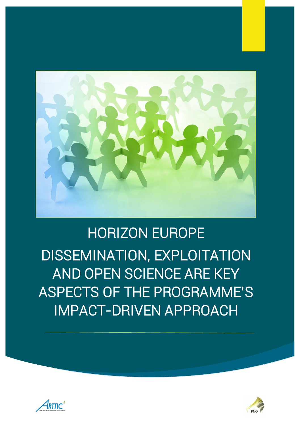

# HORIZON EUROPE DISSEMINATION, EXPLOITATION AND OPEN SCIENCE ARE KEY ASPECTS OF THE PROGRAMME'S IMPACT-DRIVEN APPROACH



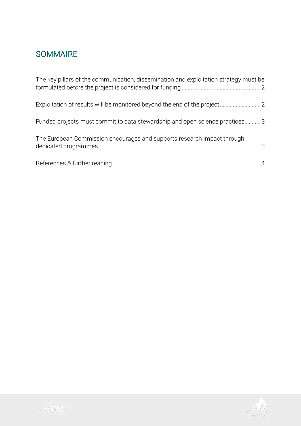## **SOMMAIRE**

| The key pillars of the communication, dissemination and exploitation strategy must be |  |
|---------------------------------------------------------------------------------------|--|
|                                                                                       |  |
| Funded projects must commit to data stewardship and open science practices 3          |  |
| The European Commission encourages and supports research impact through               |  |
|                                                                                       |  |



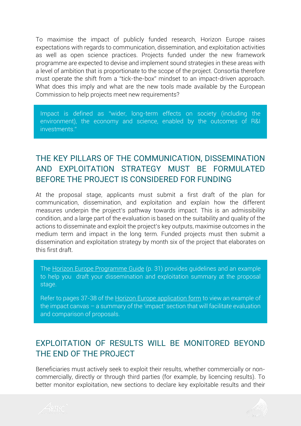To maximise the impact of publicly funded research, Horizon Europe raises expectations with regards to communication, dissemination, and exploitation activities as well as open science practices. Projects funded under the new framework programme are expected to devise and implement sound strategies in these areas with a level of ambition that is proportionate to the scope of the project. Consortia therefore must operate the shift from a "tick-the-box" mindset to an impact-driven approach. What does this imply and what are the new tools made available by the European Commission to help projects meet new requirements?

Impact is defined as "wider, long-term effects on society (including the environment), the economy and science, enabled by the outcomes of R&I investments."

### <span id="page-2-0"></span>THE KEY PILLARS OF THE COMMUNICATION, DISSEMINATION AND EXPLOITATION STRATEGY MUST BE FORMULATED BEFORE THE PROJECT IS CONSIDERED FOR FUNDING

At the proposal stage, applicants must submit a first draft of the plan for communication, dissemination, and exploitation and explain how the different measures underpin the project's pathway towards impact. This is an admissibility condition, and a large part of the evaluation is based on the suitability and quality of the actions to disseminate and exploit the project's key outputs, maximise outcomes in the medium term and impact in the long term. Funded projects must then submit a dissemination and exploitation strategy by month six of the project that elaborates on this first draft.

The [Horizon Europe Programme Guide](https://ec.europa.eu/info/funding-tenders/opportunities/docs/2021-2027/horizon/guidance/programme-guide_horizon_en.pdf) (p. 31) provides guidelines and an example to help you draft your dissemination and exploitation summary at the proposal stage.

Refer to pages 37-38 of the [Horizon Europe application form](https://ec.europa.eu/info/funding-tenders/opportunities/docs/2021-2027/horizon/temp-form/af/af_he-ria-ia_en.pdf) to view an example of the impact canvas – a summary of the 'impact' section that will facilitate evaluation and comparison of proposals.

#### <span id="page-2-1"></span>EXPLOITATION OF RESULTS WILL BE MONITORED BEYOND THE END OF THE PROJECT

Beneficiaries must actively seek to exploit their results, whether commercially or noncommercially, directly or through third parties (for example, by licencing results). To better monitor exploitation, new sections to declare key exploitable results and their



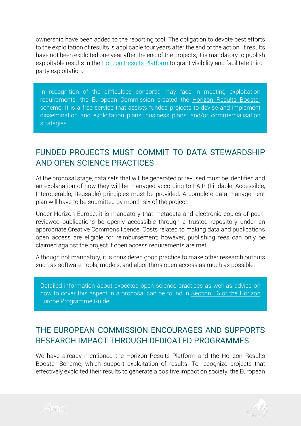ownership have been added to the reporting tool. The obligation to devote best efforts to the exploitation of results is applicable four years after the end of the action. If results have not been exploited one year after the end of the projects, it is mandatory to publish exploitable results in the **Horizon Results Platform** to grant visibility and facilitate thirdparty exploitation.

In recognition of the difficulties consortia may face in meeting exploitation requirements, the European Commission created the [Horizon Results Booster](https://www.horizonresultsbooster.eu/) scheme. It is a free service that assists funded projects to devise and implement dissemination and exploitation plans, business plans, and/or commercialisation strategies.

### <span id="page-3-0"></span>FUNDED PROJECTS MUST COMMIT TO DATA STEWARDSHIP AND OPEN SCIENCE PRACTICES

At the proposal stage, data sets that will be generated or re-used must be identified and an explanation of how they will be managed according to FAIR (Findable, Accessible, Interoperable, Reusable) principles must be provided. A complete data management plan will have to be submitted by month six of the project.

Under Horizon Europe, it is mandatory that metadata and electronic copies of peerreviewed publications be openly accessible through a trusted repository under an appropriate Creative Commons licence. Costs related to making data and publications open access are eligible for reimbursement; however, publishing fees can only be claimed against the project if open access requirements are met.

Although not mandatory, it is considered good practice to make other research outputs such as software, tools, models, and algorithms open access as much as possible.

Detailed information about expected open science practices as well as advice on how to cover this aspect in a proposal can be found in [Section 16 of the Horizon](https://ec.europa.eu/info/funding-tenders/opportunities/docs/2021-2027/horizon/guidance/programme-guide_horizon_en.pdf)  [Europe Programme Guide.](https://ec.europa.eu/info/funding-tenders/opportunities/docs/2021-2027/horizon/guidance/programme-guide_horizon_en.pdf)

#### <span id="page-3-1"></span>THE EUROPEAN COMMISSION ENCOURAGES AND SUPPORTS RESEARCH IMPACT THROUGH DEDICATED PROGRAMMES

We have already mentioned the Horizon Results Platform and the Horizon Results Booster Scheme, which support exploitation of results. To recognize projects that effectively exploited their results to generate a positive impact on society, the European